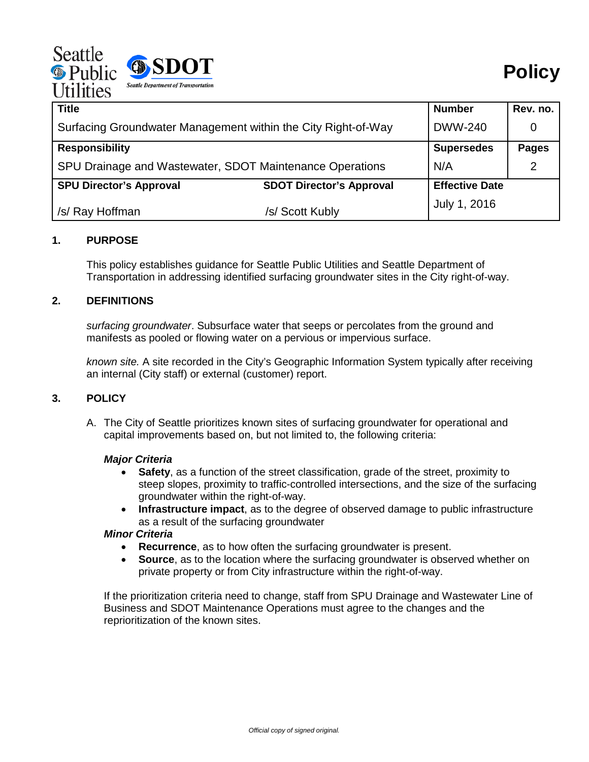| Seattle<br><b>®</b> Public<br><b>Utilities</b> | SDOT<br><b>Seattle Department of Transportation</b> |
|------------------------------------------------|-----------------------------------------------------|
|------------------------------------------------|-----------------------------------------------------|

| <b>Title</b>                                                  |                                 | <b>Number</b>         | Rev. no.      |
|---------------------------------------------------------------|---------------------------------|-----------------------|---------------|
| Surfacing Groundwater Management within the City Right-of-Way |                                 | <b>DWW-240</b>        |               |
| <b>Responsibility</b>                                         |                                 | <b>Supersedes</b>     | <b>Pages</b>  |
| SPU Drainage and Wastewater, SDOT Maintenance Operations      |                                 | N/A                   | $\mathcal{P}$ |
| <b>SPU Director's Approval</b>                                | <b>SDOT Director's Approval</b> | <b>Effective Date</b> |               |
| /s/ Ray Hoffman                                               | /s/ Scott Kubly                 | July 1, 2016          |               |

#### **1. PURPOSE**

This policy establishes guidance for Seattle Public Utilities and Seattle Department of Transportation in addressing identified surfacing groundwater sites in the City right-of-way.

# **2. DEFINITIONS**

*surfacing groundwater*. Subsurface water that seeps or percolates from the ground and manifests as pooled or flowing water on a pervious or impervious surface.

*known site.* A site recorded in the City's Geographic Information System typically after receiving an internal (City staff) or external (customer) report.

# **3. POLICY**

A. The City of Seattle prioritizes known sites of surfacing groundwater for operational and capital improvements based on, but not limited to, the following criteria:

#### *Major Criteria*

- **Safety**, as a function of the street classification, grade of the street, proximity to steep slopes, proximity to traffic-controlled intersections, and the size of the surfacing groundwater within the right-of-way.
- **Infrastructure impact**, as to the degree of observed damage to public infrastructure as a result of the surfacing groundwater

### *Minor Criteria*

- **Recurrence**, as to how often the surfacing groundwater is present.
- **Source**, as to the location where the surfacing groundwater is observed whether on private property or from City infrastructure within the right-of-way.

If the prioritization criteria need to change, staff from SPU Drainage and Wastewater Line of Business and SDOT Maintenance Operations must agree to the changes and the reprioritization of the known sites.